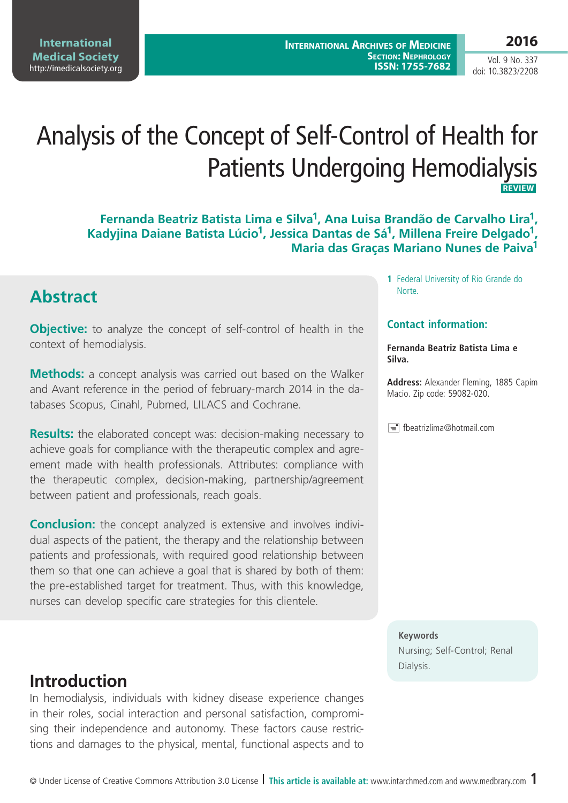**International Medical Society**  <http://imedicalsociety.org>

Vol. 9 No. 337 doi: 10.3823/2208

# Analysis of the Concept of Self-Control of Health for Patients Undergoing Hemodialysis **REVIEW**

**Fernanda Beatriz Batista Lima e Silva1, Ana Luisa Brandão de Carvalho Lira1,**  Kadyjina Daiane Batista Lúcio<sup>1</sup>, Jessica Dantas de Sá<sup>1</sup>, Millena Freire Delgado<sup>1</sup>, **Maria das Graças Mariano Nunes de Paiva1**

#### **Abstract**

**Objective:** to analyze the concept of self-control of health in the context of hemodialysis.

**Methods:** a concept analysis was carried out based on the Walker and Avant reference in the period of february-march 2014 in the databases Scopus, Cinahl, Pubmed, LILACS and Cochrane.

**Results:** the elaborated concept was: decision-making necessary to achieve goals for compliance with the therapeutic complex and agreement made with health professionals. Attributes: compliance with the therapeutic complex, decision-making, partnership/agreement between patient and professionals, reach goals.

**Conclusion:** the concept analyzed is extensive and involves individual aspects of the patient, the therapy and the relationship between patients and professionals, with required good relationship between them so that one can achieve a goal that is shared by both of them: the pre-established target for treatment. Thus, with this knowledge, nurses can develop specific care strategies for this clientele.

#### **Introduction**

In hemodialysis, individuals with kidney disease experience changes in their roles, social interaction and personal satisfaction, compromising their independence and autonomy. These factors cause restrictions and damages to the physical, mental, functional aspects and to

**1** Federal University of Rio Grande do Norte.

#### **Contact information:**

**Fernanda Beatriz Batista Lima e Silva.**

**Address:** Alexander Fleming, 1885 Capim Macio. Zip code: 59082-020.

F= fbeatrizlima@hotmail.com

#### **Keywords**

Nursing; Self-Control; Renal Dialysis.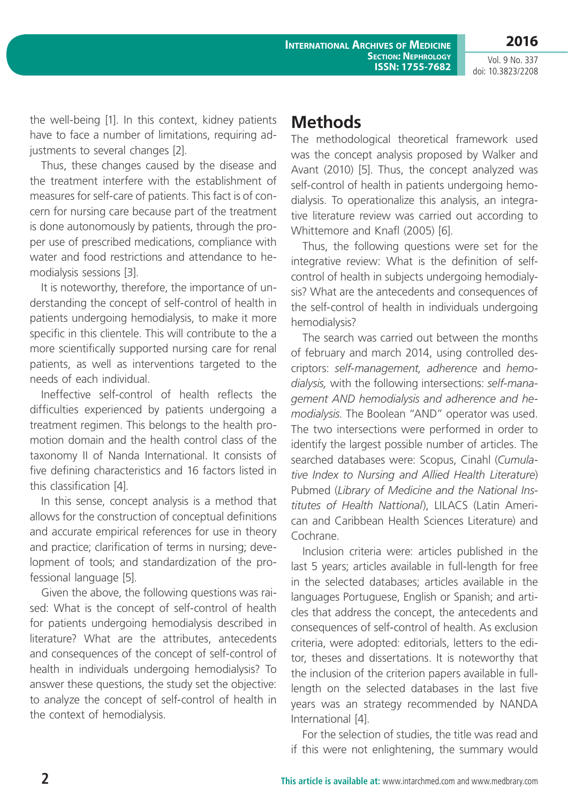**2016** Vol. 9 No. 337

doi: 10.3823/2208

the well-being [1]. In this context, kidney patients have to face a number of limitations, requiring adjustments to several changes [2].

Thus, these changes caused by the disease and the treatment interfere with the establishment of measures for self-care of patients. This fact is of concern for nursing care because part of the treatment is done autonomously by patients, through the proper use of prescribed medications, compliance with water and food restrictions and attendance to hemodialysis sessions [3].

It is noteworthy, therefore, the importance of understanding the concept of self-control of health in patients undergoing hemodialysis, to make it more specific in this clientele. This will contribute to the a more scientifically supported nursing care for renal patients, as well as interventions targeted to the needs of each individual.

Ineffective self-control of health reflects the difficulties experienced by patients undergoing a treatment regimen. This belongs to the health promotion domain and the health control class of the taxonomy II of Nanda International. It consists of five defining characteristics and 16 factors listed in this classification [4].

In this sense, concept analysis is a method that allows for the construction of conceptual definitions and accurate empirical references for use in theory and practice; clarification of terms in nursing; development of tools; and standardization of the professional language [5].

Given the above, the following questions was raised: What is the concept of self-control of health for patients undergoing hemodialysis described in literature? What are the attributes, antecedents and consequences of the concept of self-control of health in individuals undergoing hemodialysis? To answer these questions, the study set the objective: to analyze the concept of self-control of health in the context of hemodialysis.

### **Methods**

The methodological theoretical framework used was the concept analysis proposed by Walker and Avant (2010) [5]. Thus, the concept analyzed was self-control of health in patients undergoing hemodialysis. To operationalize this analysis, an integrative literature review was carried out according to Whittemore and Knafl (2005) [6].

Thus, the following questions were set for the integrative review: What is the definition of selfcontrol of health in subjects undergoing hemodialysis? What are the antecedents and consequences of the self-control of health in individuals undergoing hemodialysis?

The search was carried out between the months of february and march 2014, using controlled descriptors: *self-management, adherence* and *hemodialysis,* with the following intersections: *self-management AND hemodialysis and adherence and hemodialysis.* The Boolean "AND" operator was used. The two intersections were performed in order to identify the largest possible number of articles. The searched databases were: Scopus, Cinahl (*Cumulative Index to Nursing and Allied Health Literature*) Pubmed (*Library of Medicine and the National Institutes of Health Nattional*), LILACS (Latin American and Caribbean Health Sciences Literature) and Cochrane.

Inclusion criteria were: articles published in the last 5 years; articles available in full-length for free in the selected databases; articles available in the languages Portuguese, English or Spanish; and articles that address the concept, the antecedents and consequences of self-control of health. As exclusion criteria, were adopted: editorials, letters to the editor, theses and dissertations. It is noteworthy that the inclusion of the criterion papers available in fulllength on the selected databases in the last five years was an strategy recommended by NANDA International [4].

For the selection of studies, the title was read and if this were not enlightening, the summary would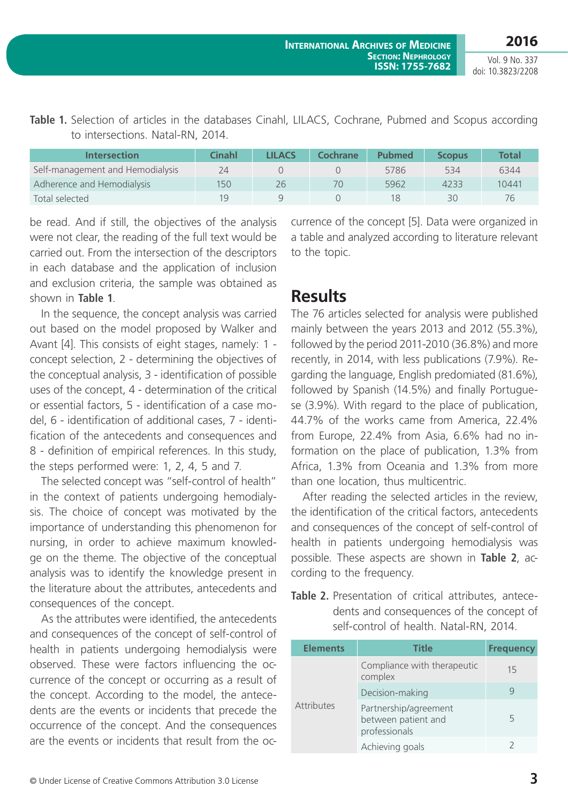Vol. 9 No. 337 doi: 10.3823/2208

| Table 1. Selection of articles in the databases Cinahl, LILACS, Cochrane, Pubmed and Scopus according |  |  |  |  |  |  |
|-------------------------------------------------------------------------------------------------------|--|--|--|--|--|--|
| to intersections. Natal-RN, 2014.                                                                     |  |  |  |  |  |  |

| <b>Intersection</b>              | Cinahl | <b>LILACS</b> | Cochrane | <b>Pubmed</b> | <b>Scopus</b> | <b>Total</b> |
|----------------------------------|--------|---------------|----------|---------------|---------------|--------------|
| Self-management and Hemodialysis | 24     |               |          | 5786          | 534           | 6344         |
| Adherence and Hemodialysis       | 150    | 26            | 70       | 5962          | 4233          | 10441        |
| Total selected                   | 10     |               |          |               | 30            |              |

be read. And if still, the objectives of the analysis were not clear, the reading of the full text would be carried out. From the intersection of the descriptors in each database and the application of inclusion and exclusion criteria, the sample was obtained as shown in **Table 1**.

In the sequence, the concept analysis was carried out based on the model proposed by Walker and Avant [4]. This consists of eight stages, namely: 1 concept selection, 2 - determining the objectives of the conceptual analysis, 3 - identification of possible uses of the concept, 4 - determination of the critical or essential factors, 5 - identification of a case model, 6 - identification of additional cases, 7 - identification of the antecedents and consequences and 8 - definition of empirical references. In this study, the steps performed were: 1, 2, 4, 5 and 7.

The selected concept was "self-control of health" in the context of patients undergoing hemodialysis. The choice of concept was motivated by the importance of understanding this phenomenon for nursing, in order to achieve maximum knowledge on the theme. The objective of the conceptual analysis was to identify the knowledge present in the literature about the attributes, antecedents and consequences of the concept.

As the attributes were identified, the antecedents and consequences of the concept of self-control of health in patients undergoing hemodialysis were observed. These were factors influencing the occurrence of the concept or occurring as a result of the concept. According to the model, the antecedents are the events or incidents that precede the occurrence of the concept. And the consequences are the events or incidents that result from the occurrence of the concept [5]. Data were organized in a table and analyzed according to literature relevant to the topic.

### **Results**

The 76 articles selected for analysis were published mainly between the years 2013 and 2012 (55.3%), followed by the period 2011-2010 (36.8%) and more recently, in 2014, with less publications (7.9%). Regarding the language, English predomiated (81.6%), followed by Spanish (14.5%) and finally Portuguese (3.9%). With regard to the place of publication, 44.7% of the works came from America, 22.4% from Europe, 22.4% from Asia, 6.6% had no information on the place of publication, 1.3% from Africa, 1.3% from Oceania and 1.3% from more than one location, thus multicentric.

After reading the selected articles in the review, the identification of the critical factors, antecedents and consequences of the concept of self-control of health in patients undergoing hemodialysis was possible. These aspects are shown in **Table 2**, according to the frequency.

**Table 2.** Presentation of critical attributes, antecedents and consequences of the concept of self-control of health. Natal-RN, 2014.

| <b>Elements</b>   | <b>Title</b>                                                  | <b>Frequency</b> |
|-------------------|---------------------------------------------------------------|------------------|
|                   | Compliance with therapeutic<br>complex                        | 15               |
|                   | Decision-making                                               |                  |
| <b>Attributes</b> | Partnership/agreement<br>between patient and<br>professionals | 5                |
|                   | Achieving goals                                               |                  |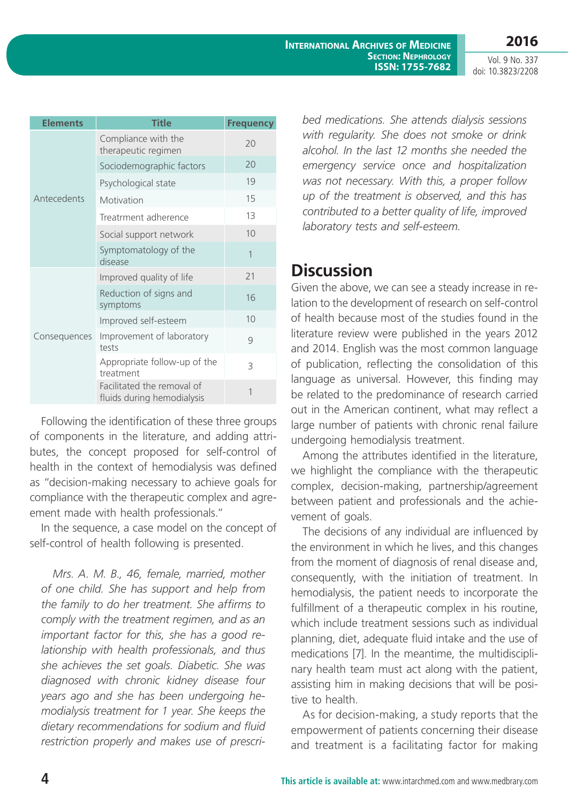**International Archives of Medicine Section: Nephrology ISSN: 1755-7682**

Vol. 9 No. 337 doi: 10.3823/2208

| <b>Elements</b> | <b>Title</b>                                             | <b>Frequency</b> |
|-----------------|----------------------------------------------------------|------------------|
|                 | Compliance with the<br>therapeutic regimen               | 20               |
|                 | Sociodemographic factors                                 | 20               |
|                 | Psychological state                                      | 19               |
| Antecedents     | Motivation                                               | 15               |
|                 | Treatrment adherence                                     | 13               |
|                 | Social support network                                   | 10               |
|                 | Symptomatology of the<br>disease                         | $\overline{1}$   |
|                 | Improved quality of life                                 | 21               |
|                 | Reduction of signs and<br>symptoms                       | 16               |
|                 | Improved self-esteem                                     | 10               |
| Consequences    | Improvement of laboratory<br>tests                       | 9                |
|                 | Appropriate follow-up of the<br>treatment                | 3                |
|                 | Facilitated the removal of<br>fluids during hemodialysis | 1                |

Following the identification of these three groups of components in the literature, and adding attributes, the concept proposed for self-control of health in the context of hemodialysis was defined as "decision-making necessary to achieve goals for compliance with the therapeutic complex and agreement made with health professionals."

In the sequence, a case model on the concept of self-control of health following is presented.

*Mrs. A. M. B., 46, female, married, mother of one child. She has support and help from the family to do her treatment. She affirms to comply with the treatment regimen, and as an important factor for this, she has a good relationship with health professionals, and thus she achieves the set goals. Diabetic. She was diagnosed with chronic kidney disease four years ago and she has been undergoing hemodialysis treatment for 1 year. She keeps the dietary recommendations for sodium and fluid restriction properly and makes use of prescri-* *bed medications. She attends dialysis sessions with regularity. She does not smoke or drink alcohol. In the last 12 months she needed the emergency service once and hospitalization was not necessary. With this, a proper follow up of the treatment is observed, and this has contributed to a better quality of life, improved laboratory tests and self-esteem.*

### **Discussion**

Given the above, we can see a steady increase in relation to the development of research on self-control of health because most of the studies found in the literature review were published in the years 2012 and 2014. English was the most common language of publication, reflecting the consolidation of this language as universal. However, this finding may be related to the predominance of research carried out in the American continent, what may reflect a large number of patients with chronic renal failure undergoing hemodialysis treatment.

Among the attributes identified in the literature, we highlight the compliance with the therapeutic complex, decision-making, partnership/agreement between patient and professionals and the achievement of goals.

The decisions of any individual are influenced by the environment in which he lives, and this changes from the moment of diagnosis of renal disease and, consequently, with the initiation of treatment. In hemodialysis, the patient needs to incorporate the fulfillment of a therapeutic complex in his routine, which include treatment sessions such as individual planning, diet, adequate fluid intake and the use of medications [7]. In the meantime, the multidisciplinary health team must act along with the patient, assisting him in making decisions that will be positive to health

As for decision-making, a study reports that the empowerment of patients concerning their disease and treatment is a facilitating factor for making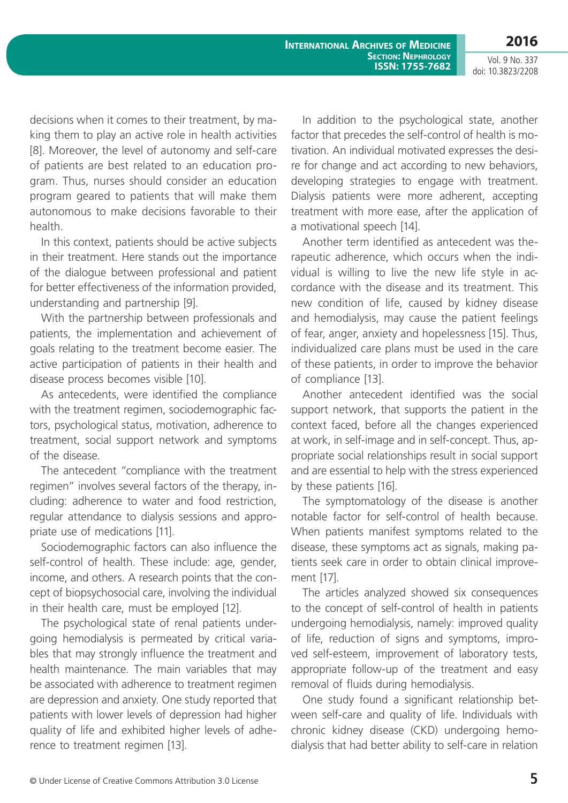**International Archives of Medicine Section: Nephrology ISSN: 1755-7682**

Vol. 9 No. 337 doi: 10.3823/2208

**2016**

decisions when it comes to their treatment, by making them to play an active role in health activities [8]. Moreover, the level of autonomy and self-care of patients are best related to an education program. Thus, nurses should consider an education program geared to patients that will make them autonomous to make decisions favorable to their health.

In this context, patients should be active subjects in their treatment. Here stands out the importance of the dialogue between professional and patient for better effectiveness of the information provided, understanding and partnership [9].

With the partnership between professionals and patients, the implementation and achievement of goals relating to the treatment become easier. The active participation of patients in their health and disease process becomes visible [10].

As antecedents, were identified the compliance with the treatment regimen, sociodemographic factors, psychological status, motivation, adherence to treatment, social support network and symptoms of the disease.

The antecedent "compliance with the treatment regimen" involves several factors of the therapy, including: adherence to water and food restriction, regular attendance to dialysis sessions and appropriate use of medications [11].

Sociodemographic factors can also influence the self-control of health. These include: age, gender, income, and others. A research points that the concept of biopsychosocial care, involving the individual in their health care, must be employed [12].

The psychological state of renal patients undergoing hemodialysis is permeated by critical variables that may strongly influence the treatment and health maintenance. The main variables that may be associated with adherence to treatment regimen are depression and anxiety. One study reported that patients with lower levels of depression had higher quality of life and exhibited higher levels of adherence to treatment regimen [13].

In addition to the psychological state, another factor that precedes the self-control of health is motivation. An individual motivated expresses the desire for change and act according to new behaviors, developing strategies to engage with treatment. Dialysis patients were more adherent, accepting treatment with more ease, after the application of a motivational speech [14].

Another term identified as antecedent was therapeutic adherence, which occurs when the individual is willing to live the new life style in accordance with the disease and its treatment. This new condition of life, caused by kidney disease and hemodialysis, may cause the patient feelings of fear, anger, anxiety and hopelessness [15]. Thus, individualized care plans must be used in the care of these patients, in order to improve the behavior of compliance [13].

Another antecedent identified was the social support network, that supports the patient in the context faced, before all the changes experienced at work, in self-image and in self-concept. Thus, appropriate social relationships result in social support and are essential to help with the stress experienced by these patients [16].

The symptomatology of the disease is another notable factor for self-control of health because. When patients manifest symptoms related to the disease, these symptoms act as signals, making patients seek care in order to obtain clinical improvement [17].

The articles analyzed showed six consequences to the concept of self-control of health in patients undergoing hemodialysis, namely: improved quality of life, reduction of signs and symptoms, improved self-esteem, improvement of laboratory tests, appropriate follow-up of the treatment and easy removal of fluids during hemodialysis.

One study found a significant relationship between self-care and quality of life. Individuals with chronic kidney disease (CKD) undergoing hemodialysis that had better ability to self-care in relation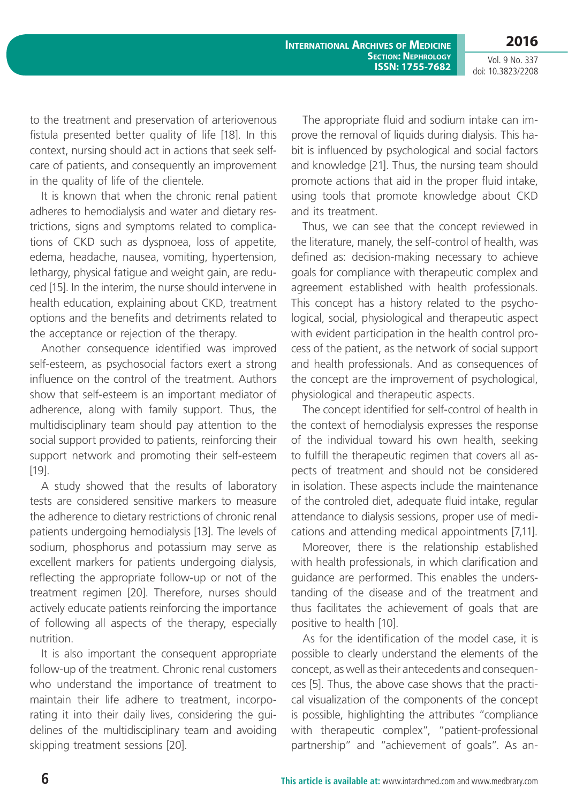**International Archives of Medicine Section: Nephrology ISSN: 1755-7682**

Vol. 9 No. 337 doi: 10.3823/2208

**2016**

to the treatment and preservation of arteriovenous fistula presented better quality of life [18]. In this context, nursing should act in actions that seek selfcare of patients, and consequently an improvement in the quality of life of the clientele.

It is known that when the chronic renal patient adheres to hemodialysis and water and dietary restrictions, signs and symptoms related to complications of CKD such as dyspnoea, loss of appetite, edema, headache, nausea, vomiting, hypertension, lethargy, physical fatigue and weight gain, are reduced [15]. In the interim, the nurse should intervene in health education, explaining about CKD, treatment options and the benefits and detriments related to the acceptance or rejection of the therapy.

Another consequence identified was improved self-esteem, as psychosocial factors exert a strong influence on the control of the treatment. Authors show that self-esteem is an important mediator of adherence, along with family support. Thus, the multidisciplinary team should pay attention to the social support provided to patients, reinforcing their support network and promoting their self-esteem [19].

A study showed that the results of laboratory tests are considered sensitive markers to measure the adherence to dietary restrictions of chronic renal patients undergoing hemodialysis [13]. The levels of sodium, phosphorus and potassium may serve as excellent markers for patients undergoing dialysis, reflecting the appropriate follow-up or not of the treatment regimen [20]. Therefore, nurses should actively educate patients reinforcing the importance of following all aspects of the therapy, especially nutrition.

It is also important the consequent appropriate follow-up of the treatment. Chronic renal customers who understand the importance of treatment to maintain their life adhere to treatment, incorporating it into their daily lives, considering the guidelines of the multidisciplinary team and avoiding skipping treatment sessions [20].

The appropriate fluid and sodium intake can improve the removal of liquids during dialysis. This habit is influenced by psychological and social factors and knowledge [21]. Thus, the nursing team should promote actions that aid in the proper fluid intake, using tools that promote knowledge about CKD and its treatment.

Thus, we can see that the concept reviewed in the literature, manely, the self-control of health, was defined as: decision-making necessary to achieve goals for compliance with therapeutic complex and agreement established with health professionals. This concept has a history related to the psychological, social, physiological and therapeutic aspect with evident participation in the health control process of the patient, as the network of social support and health professionals. And as consequences of the concept are the improvement of psychological, physiological and therapeutic aspects.

The concept identified for self-control of health in the context of hemodialysis expresses the response of the individual toward his own health, seeking to fulfill the therapeutic regimen that covers all aspects of treatment and should not be considered in isolation. These aspects include the maintenance of the controled diet, adequate fluid intake, regular attendance to dialysis sessions, proper use of medications and attending medical appointments [7,11].

Moreover, there is the relationship established with health professionals, in which clarification and guidance are performed. This enables the understanding of the disease and of the treatment and thus facilitates the achievement of goals that are positive to health [10].

As for the identification of the model case, it is possible to clearly understand the elements of the concept, as well as their antecedents and consequences [5]. Thus, the above case shows that the practical visualization of the components of the concept is possible, highlighting the attributes "compliance with therapeutic complex", "patient-professional partnership" and "achievement of goals". As an-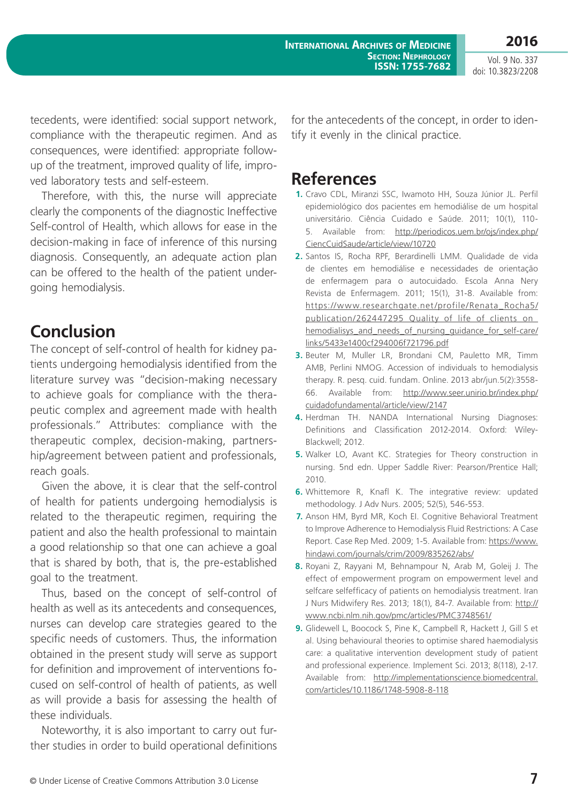Vol. 9 No. 337 doi: 10.3823/2208

tecedents, were identified: social support network, compliance with the therapeutic regimen. And as consequences, were identified: appropriate followup of the treatment, improved quality of life, improved laboratory tests and self-esteem.

Therefore, with this, the nurse will appreciate clearly the components of the diagnostic Ineffective Self-control of Health, which allows for ease in the decision-making in face of inference of this nursing diagnosis. Consequently, an adequate action plan can be offered to the health of the patient undergoing hemodialysis.

## **Conclusion**

The concept of self-control of health for kidney patients undergoing hemodialysis identified from the literature survey was "decision-making necessary to achieve goals for compliance with the therapeutic complex and agreement made with health professionals." Attributes: compliance with the therapeutic complex, decision-making, partnership/agreement between patient and professionals, reach goals.

Given the above, it is clear that the self-control of health for patients undergoing hemodialysis is related to the therapeutic regimen, requiring the patient and also the health professional to maintain a good relationship so that one can achieve a goal that is shared by both, that is, the pre-established goal to the treatment.

Thus, based on the concept of self-control of health as well as its antecedents and consequences, nurses can develop care strategies geared to the specific needs of customers. Thus, the information obtained in the present study will serve as support for definition and improvement of interventions focused on self-control of health of patients, as well as will provide a basis for assessing the health of these individuals.

Noteworthy, it is also important to carry out further studies in order to build operational definitions for the antecedents of the concept, in order to identify it evenly in the clinical practice.

#### **References**

- **1.** Cravo CDL, Miranzi SSC, Iwamoto HH, Souza Júnior JL. Perfil epidemiológico dos pacientes em hemodiálise de um hospital universitário. Ciência Cuidado e Saúde. 2011; 10(1), 110- 5. Available from: [http://periodicos.uem.br/ojs/index.php/](http://periodicos.uem.br/ojs/index.php/CiencCuidSaude/article/view/10720) [CiencCuidSaude/article/view/10720](http://periodicos.uem.br/ojs/index.php/CiencCuidSaude/article/view/10720)
- **2.** Santos IS, Rocha RPF, Berardinelli LMM. Qualidade de vida de clientes em hemodiálise e necessidades de orientação de enfermagem para o autocuidado. Escola Anna Nery Revista de Enfermagem. 2011; 15(1), 31-8. Available from: [https://www.researchgate.net/profile/Renata\\_Rocha5/](https://www.researchgate.net/profile/Renata_Rocha5/publication/262447295_Quality_of_life_of_clients_on_hemodialisys_and_needs_of_nursing_guidance_for_self-care/links/5433e1400cf294006f721796.pdf) publication/262447295\_Quality\_of\_life\_of\_clients\_on [hemodialisys\\_and\\_needs\\_of\\_nursing\\_guidance\\_for\\_self-care/](https://www.researchgate.net/profile/Renata_Rocha5/publication/262447295_Quality_of_life_of_clients_on_hemodialisys_and_needs_of_nursing_guidance_for_self-care/links/5433e1400cf294006f721796.pdf) [links/5433e1400cf294006f721796.pdf](https://www.researchgate.net/profile/Renata_Rocha5/publication/262447295_Quality_of_life_of_clients_on_hemodialisys_and_needs_of_nursing_guidance_for_self-care/links/5433e1400cf294006f721796.pdf)
- **3.** Beuter M, Muller LR, Brondani CM, Pauletto MR, Timm AMB, Perlini NMOG. Accession of individuals to hemodialysis therapy. R. pesq. cuid. fundam. Online. 2013 abr/jun.5(2):3558- 66. Available from: [http://www.seer.unirio.br/index.php/](http://www.seer.unirio.br/index.php/cuidadofundamental/article/view/2147) [cuidadofundamental/article/view/2147](http://www.seer.unirio.br/index.php/cuidadofundamental/article/view/2147)
- **4.** Herdman TH. NANDA International Nursing Diagnoses: Definitions and Classification 2012-2014. Oxford: Wiley-Blackwell; 2012.
- **5.** Walker LO, Avant KC. Strategies for Theory construction in nursing. 5nd edn. Upper Saddle River: Pearson/Prentice Hall; 2010.
- **6.** Whittemore R, Knafl K. The integrative review: updated methodology. J Adv Nurs. 2005; 52(5), 546-553.
- **7.** Anson HM, Byrd MR, Koch EI. Cognitive Behavioral Treatment to Improve Adherence to Hemodialysis Fluid Restrictions: A Case Report. Case Rep Med. 2009; 1-5. Available from: [https://www.](https://www.hindawi.com/journals/crim/2009/835262/abs/) [hindawi.com/journals/crim/2009/835262/abs/](https://www.hindawi.com/journals/crim/2009/835262/abs/)
- **8.** Royani Z, Rayyani M, Behnampour N, Arab M, Goleij J. The effect of empowerment program on empowerment level and selfcare selfefficacy of patients on hemodialysis treatment. Iran J Nurs Midwifery Res. 2013; 18(1), 84-7. Available from: [http://](http://www.ncbi.nlm.nih.gov/pmc/articles/PMC3748561/) [www.ncbi.nlm.nih.gov/pmc/articles/PMC3748561/](http://www.ncbi.nlm.nih.gov/pmc/articles/PMC3748561/)
- **9.** Glidewell L, Boocock S, Pine K, Campbell R, Hackett J, Gill S et al. Using behavioural theories to optimise shared haemodialysis care: a qualitative intervention development study of patient and professional experience. Implement Sci. 2013; 8(118), 2-17. Available from: [http://implementationscience.biomedcentral.](http://implementationscience.biomedcentral.com/articles/10.1186/1748-5908-8-118) [com/articles/10.1186/1748-5908-8-118](http://implementationscience.biomedcentral.com/articles/10.1186/1748-5908-8-118)